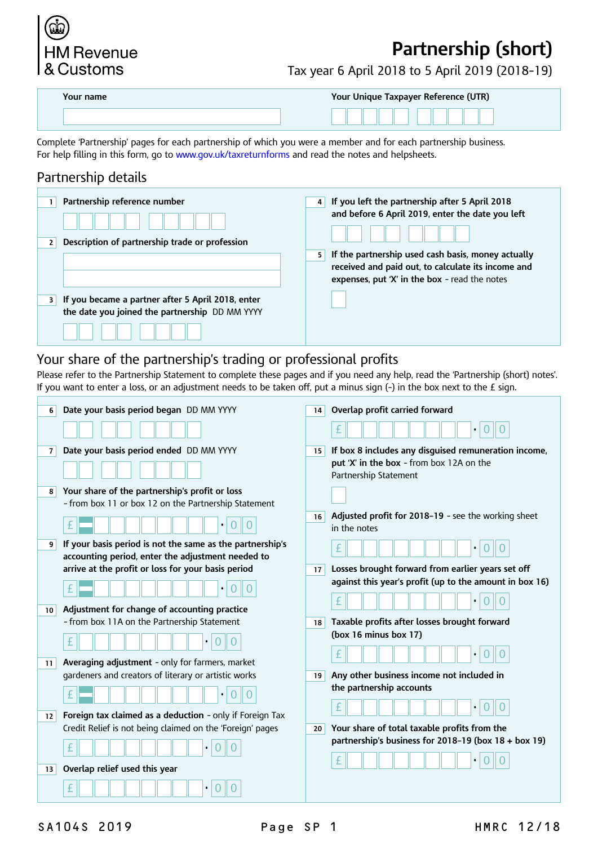# **HM Revenue** & Customs

# **Partnership (short)**

Tax year 6 April 2018 to 5 April 2019 (2018–19)

| Your name | Your Unique Taxpayer Reference (UTR) |
|-----------|--------------------------------------|
|           |                                      |

Complete 'Partnership' pages for each partnership of which you were a member and for each partnership business. For help filling in this form, go to [www.gov.uk/taxreturnforms](https://www.gov.uk/taxreturnforms) and read the notes and helpsheets.

# Partnership details

| Partnership reference number<br>Description of partnership trade or profession                      | If you left the partnership after 5 April 2018<br>and before 6 April 2019, enter the date you left<br>If the partnership used cash basis, money actually<br>5.<br>received and paid out, to calculate its income and<br>expenses, put 'X' in the box - read the notes |
|-----------------------------------------------------------------------------------------------------|-----------------------------------------------------------------------------------------------------------------------------------------------------------------------------------------------------------------------------------------------------------------------|
| If you became a partner after 5 April 2018, enter<br>the date you joined the partnership DD MM YYYY |                                                                                                                                                                                                                                                                       |
|                                                                                                     |                                                                                                                                                                                                                                                                       |

## Your share of the partnership's trading or professional profits

Please refer to the Partnership Statement to complete these pages and if you need any help, read the 'Partnership (short) notes'. If you want to enter a loss, or an adjustment needs to be taken off, put a minus sign  $(-)$  in the box next to the  $E$  sign.

| 6              | Date your basis period began DD MM YYYY                                                                        | 14 | Overlap profit carried forward                                      |
|----------------|----------------------------------------------------------------------------------------------------------------|----|---------------------------------------------------------------------|
|                |                                                                                                                |    |                                                                     |
| $\overline{7}$ | Date your basis period ended DD MM YYYY                                                                        | 15 | If box 8 includes any disguised remuneration income,                |
|                |                                                                                                                |    | put 'X' in the box - from box 12A on the<br>Partnership Statement   |
| 8              | Your share of the partnership's profit or loss                                                                 |    |                                                                     |
|                | - from box 11 or box 12 on the Partnership Statement                                                           |    |                                                                     |
|                |                                                                                                                | 16 | Adjusted profit for 2018-19 - see the working sheet<br>in the notes |
| 9              | If your basis period is not the same as the partnership's<br>accounting period, enter the adjustment needed to |    |                                                                     |
|                | arrive at the profit or loss for your basis period                                                             | 17 | Losses brought forward from earlier years set off                   |
|                |                                                                                                                |    | against this year's profit (up to the amount in box 16)             |
|                |                                                                                                                |    |                                                                     |
| 10             | Adjustment for change of accounting practice                                                                   |    |                                                                     |
|                | - from box 11A on the Partnership Statement                                                                    | 18 | Taxable profits after losses brought forward                        |
|                |                                                                                                                |    | (box 16 minus box 17)                                               |
| 11             | <b>Averaging adjustment</b> - only for farmers, market                                                         |    |                                                                     |
|                | gardeners and creators of literary or artistic works                                                           | 19 | Any other business income not included in                           |
|                |                                                                                                                |    | the partnership accounts                                            |
|                |                                                                                                                |    |                                                                     |
| 12             | Foreign tax claimed as a deduction - only if Foreign Tax                                                       |    |                                                                     |
|                | Credit Relief is not being claimed on the 'Foreign' pages                                                      | 20 | Your share of total taxable profits from the                        |
|                | $\bullet$                                                                                                      |    | partnership's business for 2018-19 (box 18 + box 19)                |
| 13             | Overlap relief used this year                                                                                  |    |                                                                     |
|                |                                                                                                                |    |                                                                     |
|                | $\bullet$                                                                                                      |    |                                                                     |

SA104S 2019 **Page SP 1** HMRC 12/18